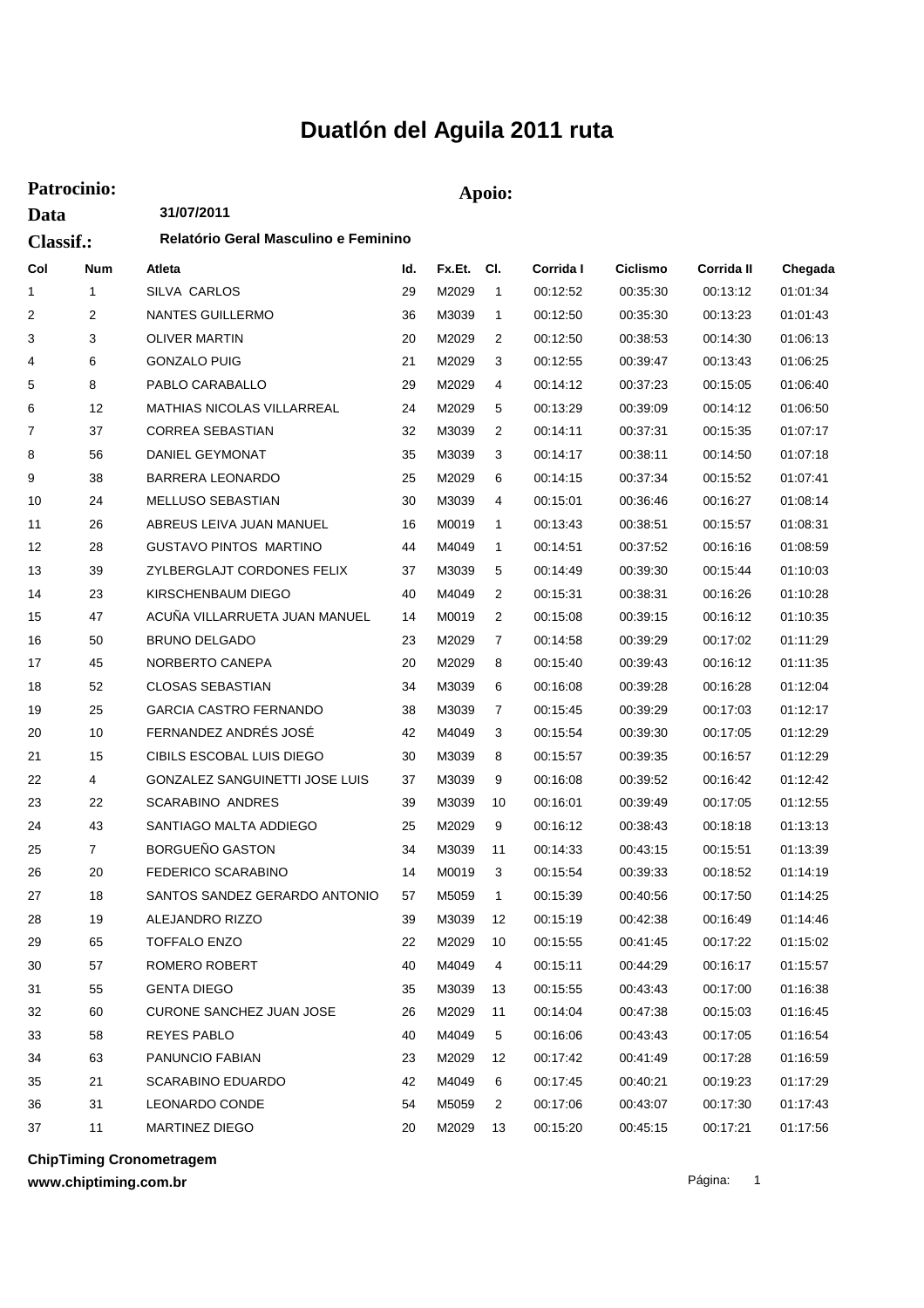## **Duatlón del Aguila 2011 ruta**

| Patrocinio:              |    |                                                    |    | Apoio: |                |          |          |          |          |  |  |
|--------------------------|----|----------------------------------------------------|----|--------|----------------|----------|----------|----------|----------|--|--|
| Data<br><b>Classif.:</b> |    | 31/07/2011<br>Relatório Geral Masculino e Feminino |    |        |                |          |          |          |          |  |  |
|                          |    |                                                    |    |        |                |          |          |          |          |  |  |
| 1                        | 1  | SILVA CARLOS                                       | 29 | M2029  | $\overline{1}$ | 00:12:52 | 00:35:30 | 00:13:12 | 01:01:34 |  |  |
| 2                        | 2  | <b>NANTES GUILLERMO</b>                            | 36 | M3039  | $\mathbf{1}$   | 00:12:50 | 00:35:30 | 00:13:23 | 01:01:43 |  |  |
| 3                        | 3  | <b>OLIVER MARTIN</b>                               | 20 | M2029  | 2              | 00:12:50 | 00:38:53 | 00:14:30 | 01:06:13 |  |  |
| 4                        | 6  | <b>GONZALO PUIG</b>                                | 21 | M2029  | 3              | 00:12:55 | 00:39:47 | 00:13:43 | 01:06:25 |  |  |
| 5                        | 8  | PABLO CARABALLO                                    | 29 | M2029  | 4              | 00:14:12 | 00:37:23 | 00:15:05 | 01:06:40 |  |  |
| 6                        | 12 | <b>MATHIAS NICOLAS VILLARREAL</b>                  | 24 | M2029  | 5              | 00:13:29 | 00:39:09 | 00:14:12 | 01:06:50 |  |  |
| 7                        | 37 | <b>CORREA SEBASTIAN</b>                            | 32 | M3039  | 2              | 00:14:11 | 00:37:31 | 00:15:35 | 01:07:17 |  |  |
| 8                        | 56 | DANIEL GEYMONAT                                    | 35 | M3039  | 3              | 00:14:17 | 00:38:11 | 00:14:50 | 01:07:18 |  |  |
| 9                        | 38 | <b>BARRERA LEONARDO</b>                            | 25 | M2029  | 6              | 00:14:15 | 00:37:34 | 00:15:52 | 01:07:41 |  |  |
| 10                       | 24 | <b>MELLUSO SEBASTIAN</b>                           | 30 | M3039  | 4              | 00:15:01 | 00:36:46 | 00:16:27 | 01:08:14 |  |  |
| 11                       | 26 | ABREUS LEIVA JUAN MANUEL                           | 16 | M0019  | 1              | 00:13:43 | 00:38:51 | 00:15:57 | 01:08:31 |  |  |
| 12                       | 28 | <b>GUSTAVO PINTOS MARTINO</b>                      | 44 | M4049  | 1              | 00:14:51 | 00:37:52 | 00:16:16 | 01:08:59 |  |  |
| 13                       | 39 | ZYLBERGLAJT CORDONES FELIX                         | 37 | M3039  | 5              | 00:14:49 | 00:39:30 | 00:15:44 | 01:10:03 |  |  |
| 14                       | 23 | KIRSCHENBAUM DIEGO                                 | 40 | M4049  | 2              | 00:15:31 | 00:38:31 | 00:16:26 | 01:10:28 |  |  |
| 15                       | 47 | ACUÑA VILLARRUETA JUAN MANUEL                      | 14 | M0019  | 2              | 00:15:08 | 00:39:15 | 00:16:12 | 01:10:35 |  |  |
| 16                       | 50 | <b>BRUNO DELGADO</b>                               | 23 | M2029  | 7              | 00:14:58 | 00:39:29 | 00:17:02 | 01:11:29 |  |  |
| 17                       | 45 | NORBERTO CANEPA                                    | 20 | M2029  | 8              | 00:15:40 | 00:39:43 | 00:16:12 | 01:11:35 |  |  |
| 18                       | 52 | <b>CLOSAS SEBASTIAN</b>                            | 34 | M3039  | 6              | 00:16:08 | 00:39:28 | 00:16:28 | 01:12:04 |  |  |
| 19                       | 25 | <b>GARCIA CASTRO FERNANDO</b>                      | 38 | M3039  | 7              | 00:15:45 | 00:39:29 | 00:17:03 | 01:12:17 |  |  |
| 20                       | 10 | FERNANDEZ ANDRÉS JOSÉ                              | 42 | M4049  | 3              | 00:15:54 | 00:39:30 | 00:17:05 | 01:12:29 |  |  |
| 21                       | 15 | CIBILS ESCOBAL LUIS DIEGO                          | 30 | M3039  | 8              | 00:15:57 | 00:39:35 | 00:16:57 | 01:12:29 |  |  |
| 22                       | 4  | GONZALEZ SANGUINETTI JOSE LUIS                     | 37 | M3039  | 9              | 00:16:08 | 00:39:52 | 00:16:42 | 01:12:42 |  |  |
| 23                       | 22 | <b>SCARABINO ANDRES</b>                            | 39 | M3039  | 10             | 00:16:01 | 00:39:49 | 00:17:05 | 01:12:55 |  |  |
| 24                       | 43 | SANTIAGO MALTA ADDIEGO                             | 25 | M2029  | 9              | 00:16:12 | 00:38:43 | 00:18:18 | 01:13:13 |  |  |
| 25                       | 7  | <b>BORGUEÑO GASTON</b>                             | 34 | M3039  | 11             | 00:14:33 | 00:43:15 | 00:15:51 | 01:13:39 |  |  |
| 26                       | 20 | FEDERICO SCARABINO                                 | 14 | M0019  | 3              | 00:15:54 | 00:39:33 | 00:18:52 | 01:14:19 |  |  |
| 27                       | 18 | SANTOS SANDEZ GERARDO ANTONIO                      | 57 | M5059  | $\overline{1}$ | 00:15:39 | 00:40:56 | 00:17:50 | 01:14:25 |  |  |
| 28                       | 19 | ALEJANDRO RIZZO                                    | 39 | M3039  | 12             | 00:15:19 | 00:42:38 | 00:16:49 | 01:14:46 |  |  |
| 29                       | 65 | <b>TOFFALO ENZO</b>                                | 22 | M2029  | 10             | 00:15:55 | 00:41:45 | 00:17:22 | 01:15:02 |  |  |
| 30                       | 57 | ROMERO ROBERT                                      | 40 | M4049  | 4              | 00:15:11 | 00:44:29 | 00:16:17 | 01:15:57 |  |  |
| 31                       | 55 | <b>GENTA DIEGO</b>                                 | 35 | M3039  | 13             | 00:15:55 | 00:43:43 | 00:17:00 | 01:16:38 |  |  |
| 32                       | 60 | CURONE SANCHEZ JUAN JOSE                           | 26 | M2029  | 11             | 00:14:04 | 00:47:38 | 00:15:03 | 01:16:45 |  |  |
| 33                       | 58 | REYES PABLO                                        | 40 | M4049  | 5              | 00:16:06 | 00:43:43 | 00:17:05 | 01:16:54 |  |  |
| 34                       | 63 | PANUNCIO FABIAN                                    | 23 | M2029  | 12             | 00:17:42 | 00:41:49 | 00:17:28 | 01:16:59 |  |  |
| 35                       | 21 | <b>SCARABINO EDUARDO</b>                           | 42 | M4049  | 6              | 00:17:45 | 00:40:21 | 00:19:23 | 01:17:29 |  |  |
| 36                       | 31 | LEONARDO CONDE                                     | 54 | M5059  | 2              | 00:17:06 | 00:43:07 | 00:17:30 | 01:17:43 |  |  |
| 37                       | 11 | MARTINEZ DIEGO                                     | 20 | M2029  | 13             | 00:15:20 | 00:45:15 | 00:17:21 | 01:17:56 |  |  |

**ChipTiming Cronometragem**

**www.chiptiming.com.br**

Página: 1